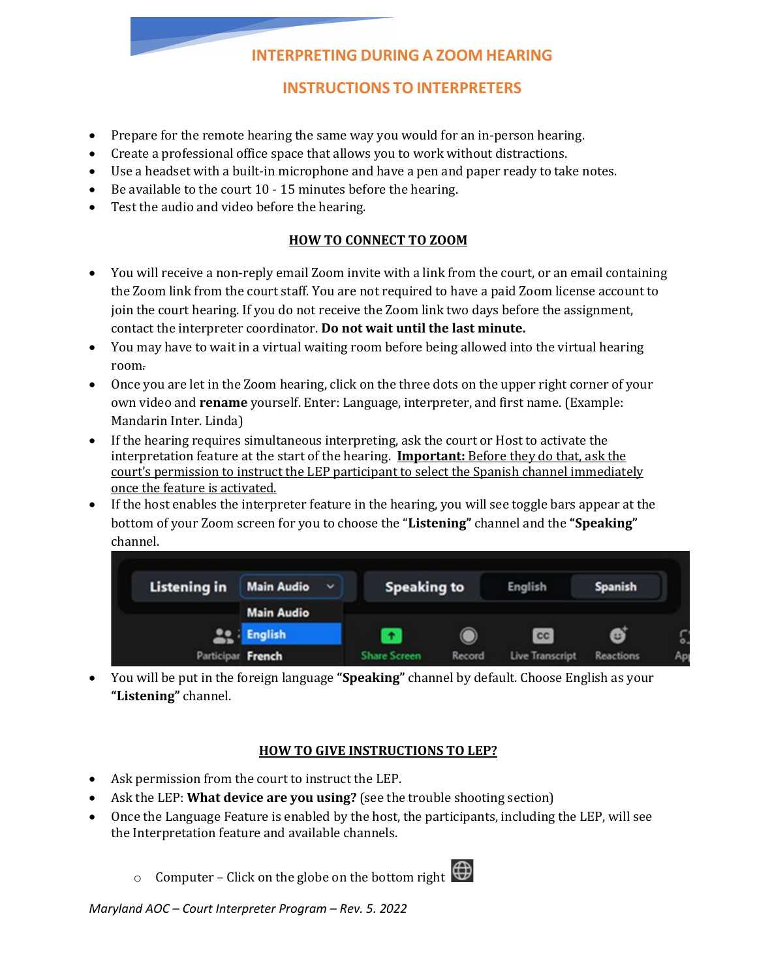# **INTERPRETING DURING A ZOOM HEARING**

## **INSTRUCTIONS TO INTERPRETERS**

- Prepare for the remote hearing the same way you would for an in-person hearing.
- Create a professional office space that allows you to work without distractions.
- Use a headset with a built-in microphone and have a pen and paper ready to take notes.
- Be available to the court 10 15 minutes before the hearing.
- Test the audio and video before the hearing.

### **HOW TO CONNECT TO ZOOM**

- You will receive a non-reply email Zoom invite with a link from the court, or an email containing the Zoom link from the court staff. You are not required to have a paid Zoom license account to join the court hearing. If you do not receive the Zoom link two days before the assignment, contact the interpreter coordinator. **Do not wait until the last minute.**
- You may have to wait in a virtual waiting room before being allowed into the virtual hearing room.
- Once you are let in the Zoom hearing, click on the three dots on the upper right corner of your own video and **rename** yourself. Enter: Language, interpreter, and first name. (Example: Mandarin Inter. Linda)
- If the hearing requires simultaneous interpreting, ask the court or Host to activate the interpretation feature at the start of the hearing. **Important:** Before they do that, ask the court's permission to instruct the LEP participant to select the Spanish channel immediately once the feature is activated.
- If the host enables the interpreter feature in the hearing, you will see toggle bars appear at the bottom of your Zoom screen for you to choose the "**Listening"** channel and the **"Speaking"** channel.

| <b>Listening in</b> | <b>Main Audio</b><br>$\check{ }$ | <b>Speaking to</b>  |        | <b>English</b>         | <b>Spanish</b>   |    |
|---------------------|----------------------------------|---------------------|--------|------------------------|------------------|----|
|                     | <b>Main Audio</b>                |                     |        |                        |                  |    |
|                     | <b>Le i English</b>              | $\bullet$           |        | <b>CC</b>              | 6                | G. |
| Participar French   |                                  | <b>Share Screen</b> | Record | <b>Live Transcript</b> | <b>Reactions</b> | Ap |

• You will be put in the foreign language **"Speaking"** channel by default. Choose English as your **"Listening"** channel.

#### **HOW TO GIVE INSTRUCTIONS TO LEP?**

- Ask permission from the court to instruct the LEP.
- Ask the LEP: **What device are you using?** (see the trouble shooting section)
- Once the Language Feature is enabled by the host, the participants, including the LEP, will see the Interpretation feature and available channels.
	- $\circ$  Computer Click on the globe on the bottom right  $\bigoplus$



*Maryland AOC – Court Interpreter Program – Rev. 5. 2022*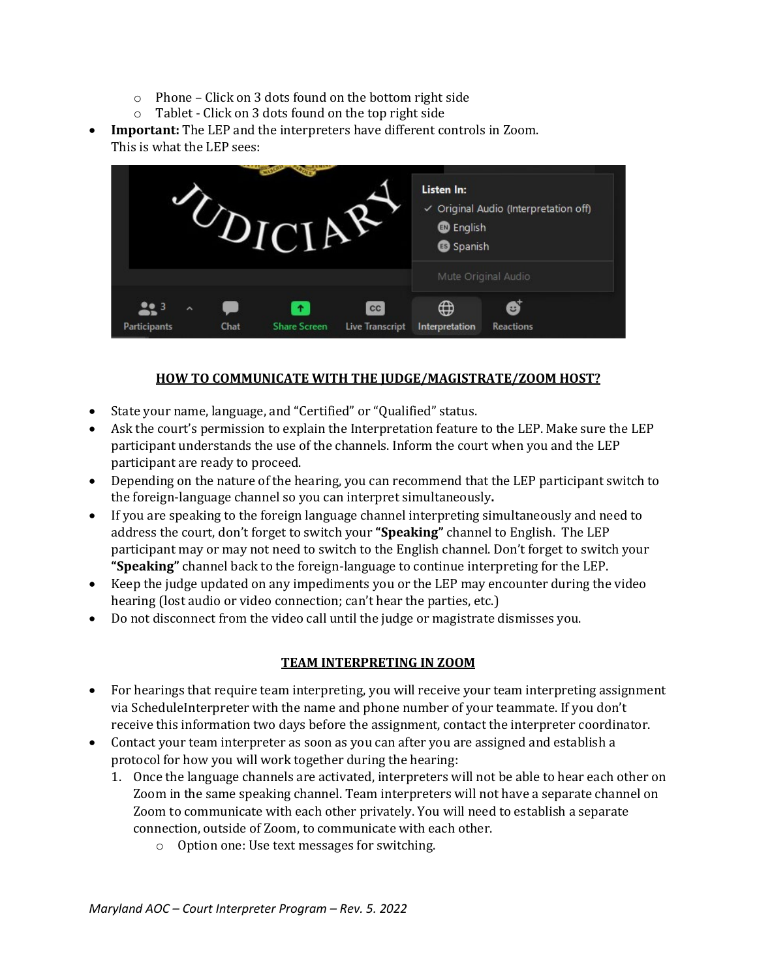- o Phone Click on 3 dots found on the bottom right side
- o Tablet Click on 3 dots found on the top right side
- **Important:** The LEP and the interpreters have different controls in Zoom. This is what the LEP sees:



### **HOW TO COMMUNICATE WITH THE JUDGE/MAGISTRATE/ZOOM HOST?**

- State your name, language, and "Certified" or "Qualified" status.
- Ask the court's permission to explain the Interpretation feature to the LEP. Make sure the LEP participant understands the use of the channels. Inform the court when you and the LEP participant are ready to proceed.
- Depending on the nature of the hearing, you can recommend that the LEP participant switch to the foreign-language channel so you can interpret simultaneously**.**
- If you are speaking to the foreign language channel interpreting simultaneously and need to address the court, don't forget to switch your **"Speaking"** channel to English. The LEP participant may or may not need to switch to the English channel. Don't forget to switch your **"Speaking"** channel back to the foreign-language to continue interpreting for the LEP.
- Keep the judge updated on any impediments you or the LEP may encounter during the video hearing (lost audio or video connection; can't hear the parties, etc.)
- Do not disconnect from the video call until the judge or magistrate dismisses you.

#### **TEAM INTERPRETING IN ZOOM**

- For hearings that require team interpreting, you will receive your team interpreting assignment via ScheduleInterpreter with the name and phone number of your teammate. If you don't receive this information two days before the assignment, contact the interpreter coordinator.
- Contact your team interpreter as soon as you can after you are assigned and establish a protocol for how you will work together during the hearing:
	- 1. Once the language channels are activated, interpreters will not be able to hear each other on Zoom in the same speaking channel. Team interpreters will not have a separate channel on Zoom to communicate with each other privately. You will need to establish a separate connection, outside of Zoom, to communicate with each other.
		- o Option one: Use text messages for switching.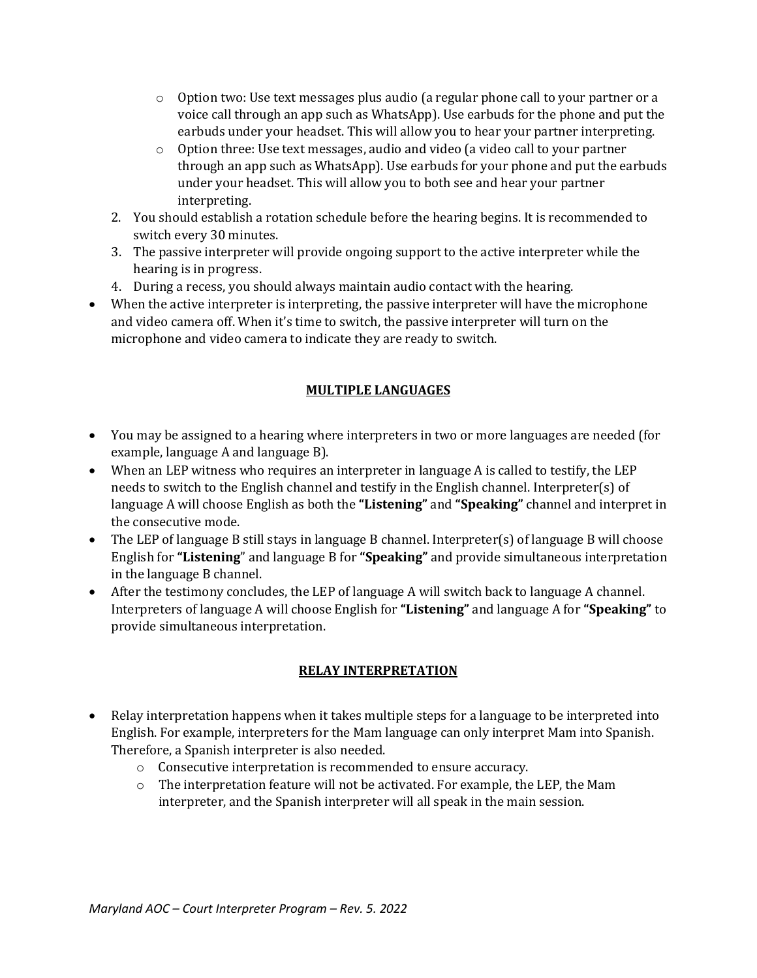- $\circ$  Option two: Use text messages plus audio (a regular phone call to your partner or a voice call through an app such as WhatsApp). Use earbuds for the phone and put the earbuds under your headset. This will allow you to hear your partner interpreting.
- o Option three: Use text messages, audio and video (a video call to your partner through an app such as WhatsApp). Use earbuds for your phone and put the earbuds under your headset. This will allow you to both see and hear your partner interpreting.
- 2. You should establish a rotation schedule before the hearing begins. It is recommended to switch every 30 minutes.
- 3. The passive interpreter will provide ongoing support to the active interpreter while the hearing is in progress.
- 4. During a recess, you should always maintain audio contact with the hearing.
- When the active interpreter is interpreting, the passive interpreter will have the microphone and video camera off. When it's time to switch, the passive interpreter will turn on the microphone and video camera to indicate they are ready to switch.

## **MULTIPLE LANGUAGES**

- You may be assigned to a hearing where interpreters in two or more languages are needed (for example, language A and language B).
- When an LEP witness who requires an interpreter in language A is called to testify, the LEP needs to switch to the English channel and testify in the English channel. Interpreter(s) of language A will choose English as both the **"Listening"** and **"Speaking"** channel and interpret in the consecutive mode.
- The LEP of language B still stays in language B channel. Interpreter(s) of language B will choose English for **"Listening**" and language B for **"Speaking"** and provide simultaneous interpretation in the language B channel.
- After the testimony concludes, the LEP of language A will switch back to language A channel. Interpreters of language A will choose English for **"Listening"** and language A for **"Speaking"** to provide simultaneous interpretation.

### **RELAY INTERPRETATION**

- Relay interpretation happens when it takes multiple steps for a language to be interpreted into English. For example, interpreters for the Mam language can only interpret Mam into Spanish. Therefore, a Spanish interpreter is also needed.
	- o Consecutive interpretation is recommended to ensure accuracy.
	- $\circ$  The interpretation feature will not be activated. For example, the LEP, the Mam interpreter, and the Spanish interpreter will all speak in the main session.